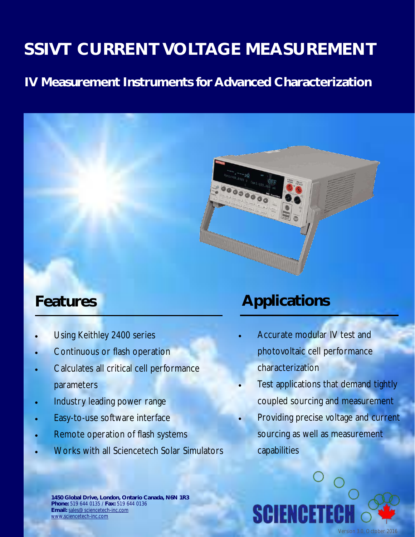## **IV Measurement Instruments for Advanced Characterization**



## **Features**

- Using Keithley 2400 series
- Continuous or flash operation
- Calculates all critical cell performance parameters
- Industry leading power range
- Easy-to-use software interface
- Remote operation of flash systems
- Works with all Sciencetech Solar Simulators

## **Applications**

- Accurate modular IV test and photovoltaic cell performance characterization
- Test applications that demand tightly coupled sourcing and measurement
- Providing precise voltage and current sourcing as well as measurement capabilities



**1450 Global Drive, London, Ontario Canada, N6N 1R3 Phone:** 519 644 0135 / **Fax:** 519 644 0136 **Email:** [sales@sciencetech-inc.com](mailto:sales@sciencetech-inc.com) [www.sciencetech-inc.com](http://www.sciencetech-inc.com)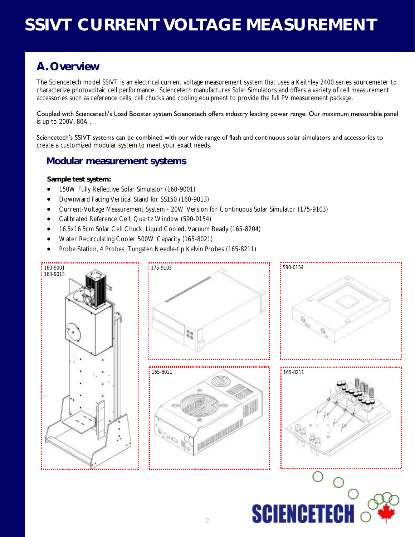### **A. Overview**

The Sciencetech model SSIVT is an electrical current voltage measurement system that uses a Keithley 2400 series sourcemeter to characterize photovoltaic cell performance. Sciencetech manufactures Solar Simulators and offers a variety of cell measurement accessories such as reference cells, cell chucks and cooling equipment to provide the full PV measurement package.

Coupled with Sciencetech's Load Booster system Sciencetech offers industry leading power range. Our maximum measurable panel is up to 200V, 80A .

Sciencetech's SSIVT systems can be combined with our wide range of flash and continuous solar simulators and accessories to create a customized modular system to meet your exact needs.

#### **Modular measurement systems**

**Sample test system:**

- 150W Fully Reflective Solar Simulator (160-9001)
- Downward Facing Vertical Stand for SS150 (160-9013)
- Current-Voltage Measurement System 20W Version for Continuous Solar Simulator (175-9103)
- Calibrated Reference Cell, Quartz Window (590-0154)
- 16.5x16.5cm Solar Cell Chuck, Liquid Cooled, Vacuum Ready (165-8204)
- Water Recirculating Cooler 500W Capacity (165-8021)
- Probe Station, 4 Probes, Tungsten Needle-tip Kelvin Probes (165-8211)

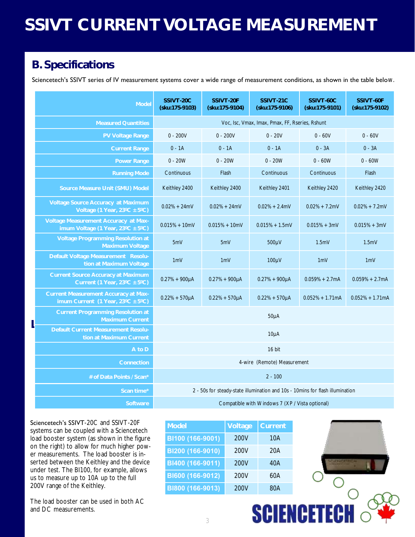## **B. Specifications**

Sciencetech's SSIVT series of IV measurement systems cover a wide range of measurement conditions, as shown in the table below.

| Model                                                                                        | SSIVT-20C<br>(sku:175-9103)                                                   | SSIVT-20F<br>(sku:175-9104) | SSIVT-21C<br>(sku:175-9106) | SSIVT-60C<br>(sku:175-9101) | SSIVT-60F<br>(sku:175-9102) |
|----------------------------------------------------------------------------------------------|-------------------------------------------------------------------------------|-----------------------------|-----------------------------|-----------------------------|-----------------------------|
| Measured Quantities                                                                          | Voc, Isc, Vmax, Imax, Pmax, FF, Rseries, Rshunt                               |                             |                             |                             |                             |
| PV Voltage Range                                                                             | $0 - 200V$                                                                    | $0 - 200V$                  | $0 - 20V$                   | $0 - 60V$                   | $0 - 60V$                   |
| <b>Current Range</b>                                                                         | $0 - 1A$                                                                      | $0 - 1A$                    | $0 - 1A$                    | $0 - 3A$                    | $0 - 3A$                    |
| Power Range                                                                                  | $0 - 20W$                                                                     | $0 - 20W$                   | $0 - 20W$                   | $0 - 60W$                   | $0 - 60W$                   |
| <b>Running Mode</b>                                                                          | Continuous                                                                    | Flash                       | Continuous                  | Continuous                  | Flash                       |
| Source Measure Unit (SMU) Model                                                              | Keithley 2400                                                                 | Keithley 2400               | Keithley 2401               | Keithley 2420               | Keithley 2420               |
| Voltage Source Accuracy at Maximum<br>Voltage (1 Year, 23°C ± 5°C)                           | $0.02% + 24mV$                                                                | $0.02\% + 24mV$             | $0.02\% + 2.4$ mV           | $0.02\% + 7.2$ mV           | $0.02\% + 7.2$ mV           |
| Voltage Measurement Accuracy at Max-<br>imum Voltage (1 Year, $23^{\circ}C \pm 5^{\circ}C$ ) | $0.015% + 10mV$                                                               | $0.015% + 10mV$             | $0.015% + 1.5mV$            | $0.015% + 3mV$              | $0.015% + 3mV$              |
| Voltage Programming Resolution at<br>Maximum Voltage                                         | 5mV                                                                           | 5mV                         | 500µV                       | 1.5mV                       | 1.5mV                       |
| Default Voltage Measurement Resolu-<br>tion at Maximum Voltage                               | 1mV                                                                           | 1mV                         | 100µV                       | 1mV                         | 1mV                         |
| Current Source Accuracy at Maximum<br>Current (1 Year, $23^{\circ}$ C ± 5°C)                 | $0.27% + 900 \mu A$                                                           | $0.27% + 900 \mu A$         | $0.27% + 900\mu A$          | $0.059% + 2.7mA$            | $0.059% + 2.7mA$            |
| Current Measurement Accuracy at Max-<br>imum Current (1 Year, $23^{\circ}$ C ± 5°C)          | $0.22% + 570 \mu A$                                                           | $0.22% + 570 \mu A$         | $0.22% + 570 \mu A$         | $0.052% + 1.71mA$           | $0.052% + 1.71mA$           |
| Current Programming Resolution at<br>Maximum Current                                         | $50\mu A$                                                                     |                             |                             |                             |                             |
| Default Current Measurement Resolu-<br>tion at Maximum Current                               | $10\mu A$                                                                     |                             |                             |                             |                             |
| A to D                                                                                       | 16 bit                                                                        |                             |                             |                             |                             |
| Connection                                                                                   | 4-wire (Remote) Measurement                                                   |                             |                             |                             |                             |
| # of Data Points / Scan*                                                                     | $2 - 100$                                                                     |                             |                             |                             |                             |
| Scan time*                                                                                   | 2 - 50s for steady-state illumination and 10s - 10mins for flash illumination |                             |                             |                             |                             |
| Software                                                                                     | Compatible with Windows 7 (XP / Vista optional)                               |                             |                             |                             |                             |

Sciencetech's SSIVT-20C and SSIVT-20F systems can be coupled with a Sciencetech load booster system (as shown in the figure on the right) to allow for much higher power measurements. The load booster is inserted between the Keithley and the device under test. The BI100, for example, allows us to measure up to 10A up to the full 200V range of the Keithley.

The load booster can be used in both AC and DC measurements.

| Model            | Voltage | Current |
|------------------|---------|---------|
| BI100 (166-9001) | 200V    | 10A     |
| BI200 (166-9010) | 200V    | 20A     |
| BI400 (166-9011) | 200V    | 40A     |
| BI600 (166-9012) | 200V    | 60A     |
| BI800 (166-9013) | 200V    | 80A     |



**SCIENCETE**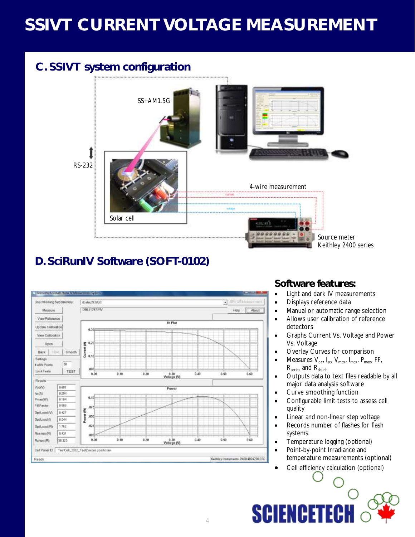## **C. SSIVT system configuration**



## **D. SciRunIV Software (SOFT-0102)**



#### **Software features:**

- Light and dark IV measurements
- Displays reference data
- Manual or automatic range selection
- Allows user calibration of reference detectors
- Graphs Current Vs. Voltage and Power Vs. Voltage
- Overlay Curves for comparison
- Measures V<sub>oc</sub>, I<sub>sc</sub>, V<sub>max</sub>, I<sub>max</sub>, P<sub>max</sub>, FF, R<sub>series</sub> and R<sub>shunt</sub>
- Outputs data to text files readable by all major data analysis software
- Curve smoothing function
- Configurable limit tests to assess cell quality
- Linear and non-linear step voltage
- Records number of flashes for flash systems.
- Temperature logging (optional)
- Point-by-point Irradiance and temperature measurements (optional)
- Cell efficiency calculation (optional)

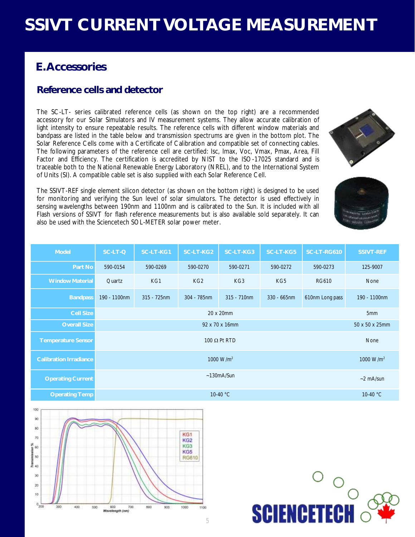### **E. Accessories**

#### **Reference cells and detector**

The SC-LT- series calibrated reference cells (as shown on the top right) are a recommended accessory for our Solar Simulators and IV measurement systems. They allow accurate calibration of light intensity to ensure repeatable results. The reference cells with different window materials and bandpass are listed in the table below and transmission spectrums are given in the bottom plot. The Solar Reference Cells come with a Certificate of Calibration and compatible set of connecting cables. The following parameters of the reference cell are certified: Isc, Imax, Voc, Vmax, Pmax, Area, Fill Factor and Efficiency. The certification is accredited by NIST to the ISO-17025 standard and is traceable both to the National Renewable Energy Laboratory (NREL), and to the International System of Units (SI). A compatible cable set is also supplied with each Solar Reference Cell.

The SSIVT-REF single element silicon detector (as shown on the bottom right) is designed to be used for monitoring and verifying the Sun level of solar simulators. The detector is used effectively in sensing wavelengths between 190nm and 1100nm and is calibrated to the Sun. It is included with all Flash versions of SSIVT for flash reference measurements but is also available sold separately. It can also be used with the Sciencetech SOL-METER solar power meter.

| Model                         | SC-LT-Q                              | SC-LT-KG1      | SC-LT-KG2       | SC-LT-KG3      | SC-LT-KG5      | SC-LT-RG610     | <b>SSIVT-REF</b> |
|-------------------------------|--------------------------------------|----------------|-----------------|----------------|----------------|-----------------|------------------|
| Part No                       | 590-0154                             | 590-0269       | 590-0270        | 590-0271       | 590-0272       | 590-0273        | 125-9007         |
| <b>Window Material</b>        | Quartz                               | KG1            | KG <sub>2</sub> | KG3            | KG5            | <b>RG610</b>    | None             |
| <b>Bandpass</b>               | 190 - 1100nm                         | $315 - 725$ nm | 304 - 785nm     | $315 - 710$ nm | $330 - 665$ nm | 610nm Long pass | 190 - 1100nm     |
| <b>Cell Size</b>              | 20 x 20mm<br>5mm                     |                |                 |                |                |                 |                  |
| <b>Overall Size</b>           | 92 x 70 x 16mm<br>50 x 50 x 25mm     |                |                 |                |                |                 |                  |
| <b>Temperature Sensor</b>     | 100 $\Omega$ Pt RTD<br>None          |                |                 |                |                |                 |                  |
| <b>Calibration Irradiance</b> | 1000 $W/m^2$<br>1000 $W/m^2$         |                |                 |                |                |                 |                  |
| <b>Operating Current</b>      | $~130$ m $A/S$ un<br>$\sim$ 2 mA/sun |                |                 |                |                |                 |                  |
| <b>Operating Temp</b>         | $10-40 °C$                           |                |                 |                | $10-40 °C$     |                 |                  |